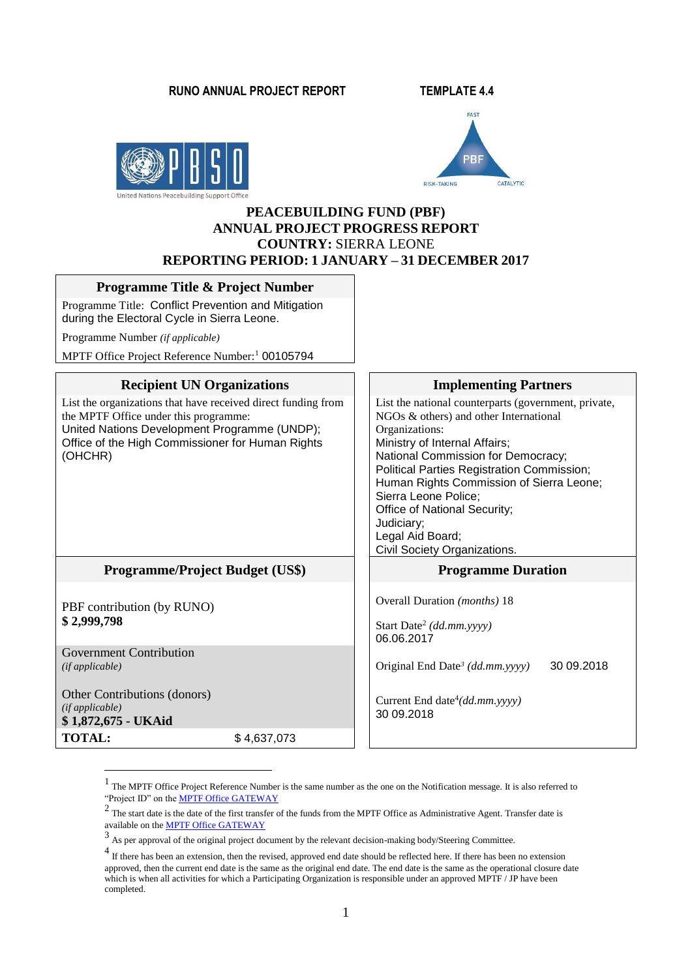#### **RUNO ANNUAL PROJECT REPORT TEMPLATE 4.4**





#### **PEACEBUILDING FUND (PBF) ANNUAL PROJECT PROGRESS REPORT COUNTRY:** SIERRA LEONE **REPORTING PERIOD: 1 JANUARY – 31 DECEMBER 2017**

#### **Programme Title & Project Number**

Programme Title: Conflict Prevention and Mitigation during the Electoral Cycle in Sierra Leone.

Programme Number *(if applicable)* 

MPTF Office Project Reference Number:<sup>1</sup> 00105794

#### **Recipient UN Organizations Implementing Partners**

List the organizations that have received direct funding from the MPTF Office under this programme: United Nations Development Programme (UNDP); Office of the High Commissioner for Human Rights (OHCHR)

## **Programme/Project Budget (US\$) Programme Duration**

PBF contribution (by RUNO) **\$ 2,999,798**

Government Contribution *(if applicable)*

1

Other Contributions (donors) *(if applicable)* **\$ 1,872,675 - UKAid TOTAL:** \$ 4,637,073 List the national counterparts (government, private, NGOs & others) and other International Organizations: Ministry of Internal Affairs; National Commission for Democracy; Political Parties Registration Commission; Human Rights Commission of Sierra Leone; Sierra Leone Police; Office of National Security; Judiciary; Legal Aid Board; Civil Society Organizations.

Overall Duration *(months)* 18

Start Date<sup>2</sup> *(dd.mm.yyyy)* 06.06.2017

Original End Date*<sup>3</sup> (dd.mm.yyyy)* 30 09.2018

Current End date<sup>4</sup>(dd.mm.yyyy) 30 09.2018

<sup>&</sup>lt;sup>1</sup> The MPTF Office Project Reference Number is the same number as the one on the Notification message. It is also referred to "Project ID" on th[e MPTF Office GATEWAY](http://mdtf.undp.org/)

 $2$  The start date is the date of the first transfer of the funds from the MPTF Office as Administrative Agent. Transfer date is available on th[e MPTF Office GATEWAY](http://mdtf.undp.org/)

<sup>3</sup> As per approval of the original project document by the relevant decision-making body/Steering Committee.

<sup>&</sup>lt;sup>4</sup> If there has been an extension, then the revised, approved end date should be reflected here. If there has been no extension approved, then the current end date is the same as the original end date. The end date is the same as the operational closure date which is when all activities for which a Participating Organization is responsible under an approved MPTF / JP have been completed.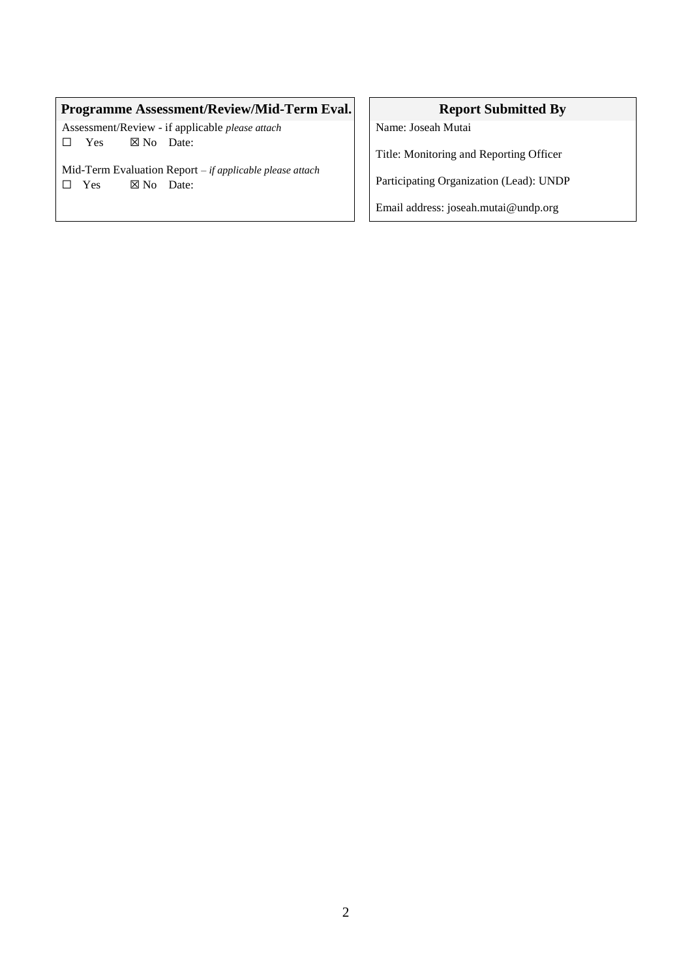# **Programme Assessment/Review/Mid-Term Eval.** Report Submitted By

Assessment/Review - if applicable *please attach* □ Yes ⊠ No Date:

Mid-Term Evaluation Report *– if applicable please attach* □ Yes ⊠ No Date:

Name: Joseah Mutai

Title: Monitoring and Reporting Officer

Participating Organization (Lead): UNDP

Email address: joseah.mutai@undp.org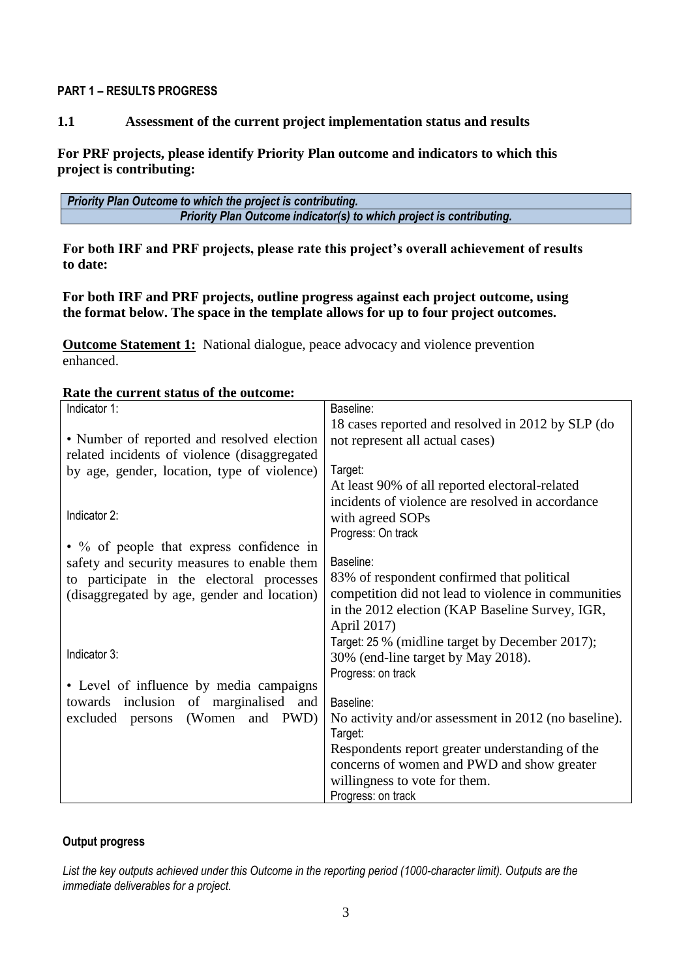#### **PART 1 – RESULTS PROGRESS**

## **1.1 Assessment of the current project implementation status and results**

## **For PRF projects, please identify Priority Plan outcome and indicators to which this project is contributing:**

| Priority Plan Outcome to which the project is contributing.          |  |  |  |
|----------------------------------------------------------------------|--|--|--|
| Priority Plan Outcome indicator(s) to which project is contributing. |  |  |  |

**For both IRF and PRF projects, please rate this project's overall achievement of results to date:** 

## **For both IRF and PRF projects, outline progress against each project outcome, using the format below. The space in the template allows for up to four project outcomes.**

**Outcome Statement 1:** National dialogue, peace advocacy and violence prevention enhanced.

#### **Rate the current status of the outcome:**

| Indicator 1:                                     | Baseline:                                                       |  |  |
|--------------------------------------------------|-----------------------------------------------------------------|--|--|
|                                                  | 18 cases reported and resolved in 2012 by SLP (do               |  |  |
| • Number of reported and resolved election       | not represent all actual cases)                                 |  |  |
| related incidents of violence (disaggregated     |                                                                 |  |  |
| by age, gender, location, type of violence)      | Target:                                                         |  |  |
|                                                  | At least 90% of all reported electoral-related                  |  |  |
|                                                  | incidents of violence are resolved in accordance                |  |  |
| Indicator 2:                                     | with agreed SOPs                                                |  |  |
|                                                  | Progress: On track                                              |  |  |
| $\bullet$ % of people that express confidence in |                                                                 |  |  |
| safety and security measures to enable them      | Baseline:                                                       |  |  |
| to participate in the electoral processes        | 83% of respondent confirmed that political                      |  |  |
| (disaggregated by age, gender and location)      | competition did not lead to violence in communities             |  |  |
|                                                  | in the 2012 election (KAP Baseline Survey, IGR,                 |  |  |
|                                                  | April 2017)                                                     |  |  |
| Indicator 3:                                     | Target: 25 % (midline target by December 2017);                 |  |  |
|                                                  | 30% (end-line target by May 2018).                              |  |  |
| • Level of influence by media campaigns          | Progress: on track                                              |  |  |
| towards inclusion of marginalised and            |                                                                 |  |  |
| (Women and PWD)<br>excluded persons              | Baseline:                                                       |  |  |
|                                                  | No activity and/or assessment in 2012 (no baseline).<br>Target: |  |  |
|                                                  | Respondents report greater understanding of the                 |  |  |
|                                                  | concerns of women and PWD and show greater                      |  |  |
|                                                  | willingness to vote for them.                                   |  |  |
|                                                  | Progress: on track                                              |  |  |
|                                                  |                                                                 |  |  |

## **Output progress**

*List the key outputs achieved under this Outcome in the reporting period (1000-character limit). Outputs are the immediate deliverables for a project.*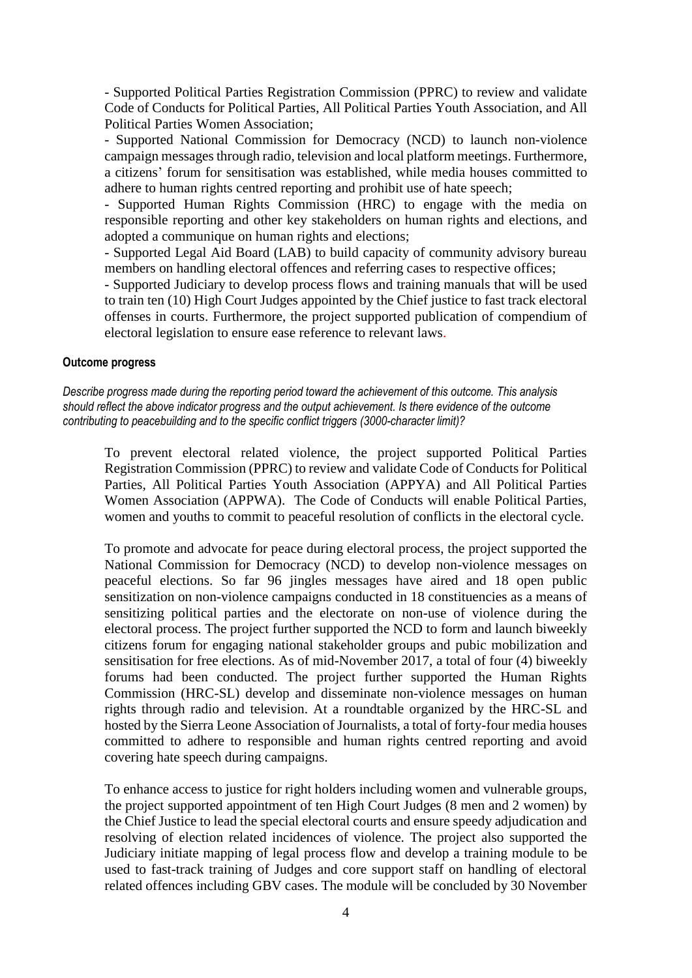- Supported Political Parties Registration Commission (PPRC) to review and validate Code of Conducts for Political Parties, All Political Parties Youth Association, and All Political Parties Women Association;

- Supported National Commission for Democracy (NCD) to launch non-violence campaign messages through radio, television and local platform meetings. Furthermore, a citizens' forum for sensitisation was established, while media houses committed to adhere to human rights centred reporting and prohibit use of hate speech;

- Supported Human Rights Commission (HRC) to engage with the media on responsible reporting and other key stakeholders on human rights and elections, and adopted a communique on human rights and elections;

- Supported Legal Aid Board (LAB) to build capacity of community advisory bureau members on handling electoral offences and referring cases to respective offices;

- Supported Judiciary to develop process flows and training manuals that will be used to train ten (10) High Court Judges appointed by the Chief justice to fast track electoral offenses in courts. Furthermore, the project supported publication of compendium of electoral legislation to ensure ease reference to relevant laws.

#### **Outcome progress**

*Describe progress made during the reporting period toward the achievement of this outcome. This analysis should reflect the above indicator progress and the output achievement. Is there evidence of the outcome contributing to peacebuilding and to the specific conflict triggers (3000-character limit)?* 

To prevent electoral related violence, the project supported Political Parties Registration Commission (PPRC) to review and validate Code of Conducts for Political Parties, All Political Parties Youth Association (APPYA) and All Political Parties Women Association (APPWA). The Code of Conducts will enable Political Parties, women and youths to commit to peaceful resolution of conflicts in the electoral cycle.

To promote and advocate for peace during electoral process, the project supported the National Commission for Democracy (NCD) to develop non-violence messages on peaceful elections. So far 96 jingles messages have aired and 18 open public sensitization on non-violence campaigns conducted in 18 constituencies as a means of sensitizing political parties and the electorate on non-use of violence during the electoral process. The project further supported the NCD to form and launch biweekly citizens forum for engaging national stakeholder groups and pubic mobilization and sensitisation for free elections. As of mid-November 2017, a total of four (4) biweekly forums had been conducted. The project further supported the Human Rights Commission (HRC-SL) develop and disseminate non-violence messages on human rights through radio and television. At a roundtable organized by the HRC-SL and hosted by the Sierra Leone Association of Journalists, a total of forty-four media houses committed to adhere to responsible and human rights centred reporting and avoid covering hate speech during campaigns.

To enhance access to justice for right holders including women and vulnerable groups, the project supported appointment of ten High Court Judges (8 men and 2 women) by the Chief Justice to lead the special electoral courts and ensure speedy adjudication and resolving of election related incidences of violence. The project also supported the Judiciary initiate mapping of legal process flow and develop a training module to be used to fast-track training of Judges and core support staff on handling of electoral related offences including GBV cases. The module will be concluded by 30 November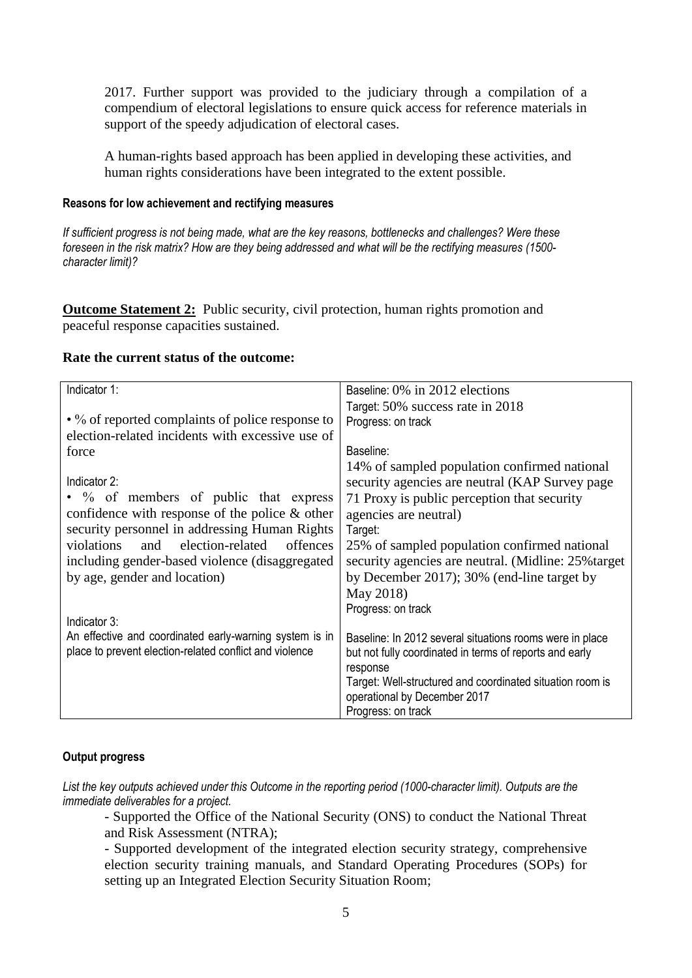2017. Further support was provided to the judiciary through a compilation of a compendium of electoral legislations to ensure quick access for reference materials in support of the speedy adjudication of electoral cases.

A human-rights based approach has been applied in developing these activities, and human rights considerations have been integrated to the extent possible.

#### **Reasons for low achievement and rectifying measures**

*If sufficient progress is not being made, what are the key reasons, bottlenecks and challenges? Were these foreseen in the risk matrix? How are they being addressed and what will be the rectifying measures (1500 character limit)?*

**Outcome Statement 2:** Public security, civil protection, human rights promotion and peaceful response capacities sustained.

#### **Rate the current status of the outcome:**

| Indicator 1:                                            | Baseline: 0% in 2012 elections                            |
|---------------------------------------------------------|-----------------------------------------------------------|
|                                                         |                                                           |
|                                                         | Target: 50% success rate in 2018                          |
| • % of reported complaints of police response to        | Progress: on track                                        |
| election-related incidents with excessive use of        |                                                           |
| force                                                   | Baseline:                                                 |
|                                                         | 14% of sampled population confirmed national              |
| Indicator 2:                                            | security agencies are neutral (KAP Survey page            |
| • % of members of public that express                   | 71 Proxy is public perception that security               |
| confidence with response of the police $\&$ other       | agencies are neutral)                                     |
| security personnel in addressing Human Rights           | Target:                                                   |
| and election-related<br>violations<br>offences          | 25% of sampled population confirmed national              |
| including gender-based violence (disaggregated)         | security agencies are neutral. (Midline: 25% target)      |
| by age, gender and location)                            | by December 2017); 30% (end-line target by                |
|                                                         | May 2018)                                                 |
|                                                         | Progress: on track                                        |
| Indicator 3:                                            |                                                           |
| An effective and coordinated early-warning system is in | Baseline: In 2012 several situations rooms were in place  |
| place to prevent election-related conflict and violence | but not fully coordinated in terms of reports and early   |
|                                                         | response                                                  |
|                                                         | Target: Well-structured and coordinated situation room is |
|                                                         | operational by December 2017                              |
|                                                         | Progress: on track                                        |

#### **Output progress**

List the key outputs achieved under this Outcome in the reporting period (1000-character limit). Outputs are the *immediate deliverables for a project.*

- Supported the Office of the National Security (ONS) to conduct the National Threat and Risk Assessment (NTRA);

- Supported development of the integrated election security strategy, comprehensive election security training manuals, and Standard Operating Procedures (SOPs) for setting up an Integrated Election Security Situation Room;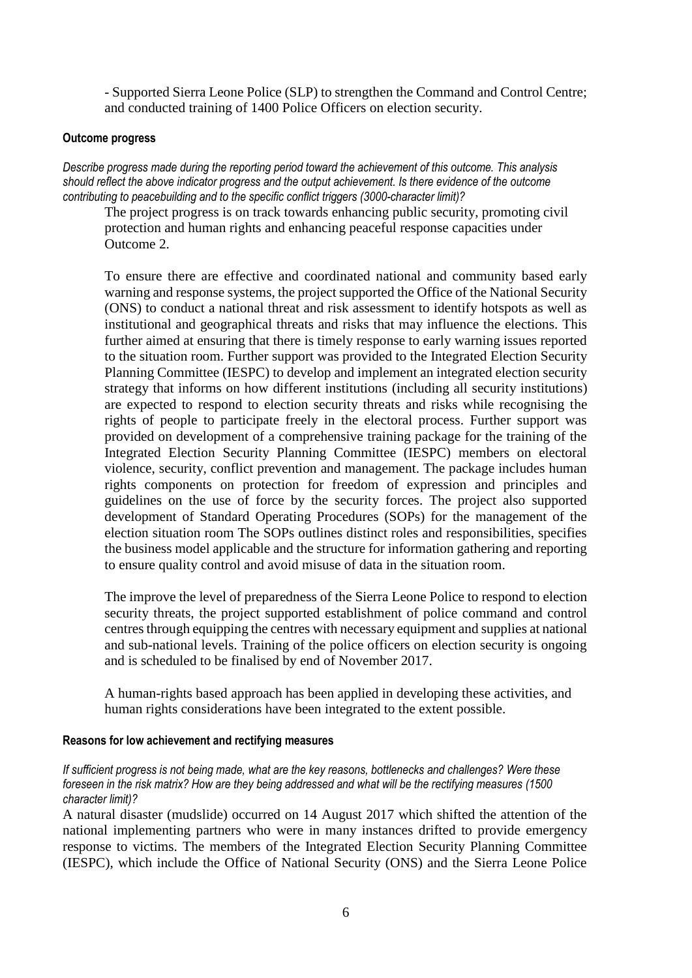- Supported Sierra Leone Police (SLP) to strengthen the Command and Control Centre; and conducted training of 1400 Police Officers on election security.

#### **Outcome progress**

*Describe progress made during the reporting period toward the achievement of this outcome. This analysis should reflect the above indicator progress and the output achievement. Is there evidence of the outcome contributing to peacebuilding and to the specific conflict triggers (3000-character limit)?* 

The project progress is on track towards enhancing public security, promoting civil protection and human rights and enhancing peaceful response capacities under Outcome 2.

To ensure there are effective and coordinated national and community based early warning and response systems, the project supported the Office of the National Security (ONS) to conduct a national threat and risk assessment to identify hotspots as well as institutional and geographical threats and risks that may influence the elections. This further aimed at ensuring that there is timely response to early warning issues reported to the situation room. Further support was provided to the Integrated Election Security Planning Committee (IESPC) to develop and implement an integrated election security strategy that informs on how different institutions (including all security institutions) are expected to respond to election security threats and risks while recognising the rights of people to participate freely in the electoral process. Further support was provided on development of a comprehensive training package for the training of the Integrated Election Security Planning Committee (IESPC) members on electoral violence, security, conflict prevention and management. The package includes human rights components on protection for freedom of expression and principles and guidelines on the use of force by the security forces. The project also supported development of Standard Operating Procedures (SOPs) for the management of the election situation room The SOPs outlines distinct roles and responsibilities, specifies the business model applicable and the structure for information gathering and reporting to ensure quality control and avoid misuse of data in the situation room.

The improve the level of preparedness of the Sierra Leone Police to respond to election security threats, the project supported establishment of police command and control centres through equipping the centres with necessary equipment and supplies at national and sub-national levels. Training of the police officers on election security is ongoing and is scheduled to be finalised by end of November 2017.

A human-rights based approach has been applied in developing these activities, and human rights considerations have been integrated to the extent possible.

#### **Reasons for low achievement and rectifying measures**

*If sufficient progress is not being made, what are the key reasons, bottlenecks and challenges? Were these foreseen in the risk matrix? How are they being addressed and what will be the rectifying measures (1500 character limit)?*

A natural disaster (mudslide) occurred on 14 August 2017 which shifted the attention of the national implementing partners who were in many instances drifted to provide emergency response to victims. The members of the Integrated Election Security Planning Committee (IESPC), which include the Office of National Security (ONS) and the Sierra Leone Police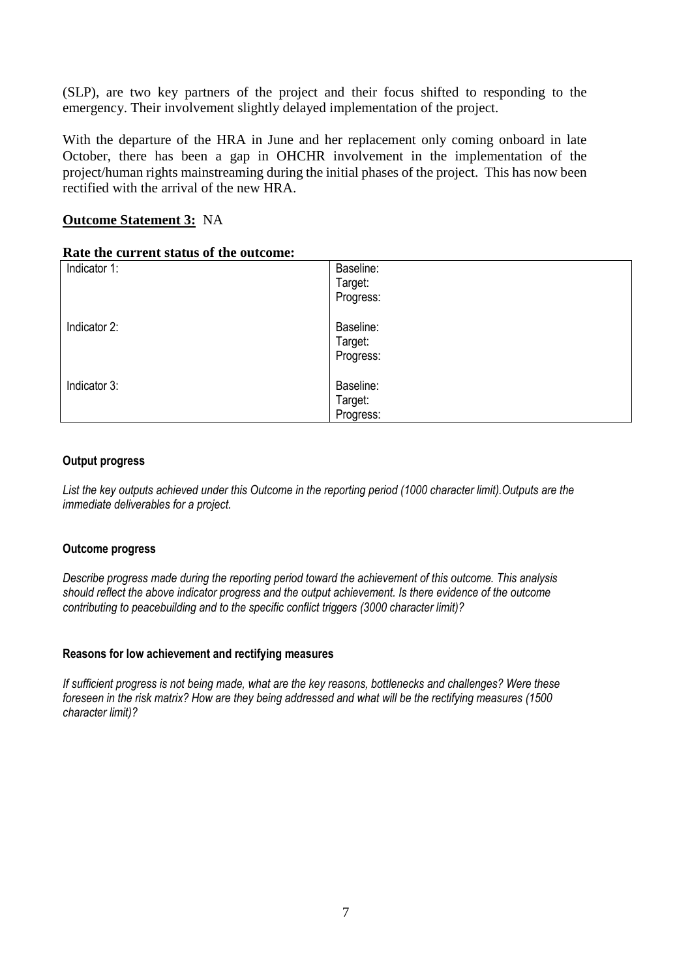(SLP), are two key partners of the project and their focus shifted to responding to the emergency. Their involvement slightly delayed implementation of the project.

With the departure of the HRA in June and her replacement only coming onboard in late October, there has been a gap in OHCHR involvement in the implementation of the project/human rights mainstreaming during the initial phases of the project. This has now been rectified with the arrival of the new HRA.

## **Outcome Statement 3:** NA

#### **Rate the current status of the outcome:**

|              | ---------- |
|--------------|------------|
| Indicator 1: | Baseline:  |
|              | Target:    |
|              | Progress:  |
| Indicator 2: | Baseline:  |
|              | Target:    |
|              | Progress:  |
| Indicator 3: | Baseline:  |
|              | Target:    |
|              | Progress:  |

#### **Output progress**

*List the key outputs achieved under this Outcome in the reporting period (1000 character limit).Outputs are the immediate deliverables for a project.*

#### **Outcome progress**

*Describe progress made during the reporting period toward the achievement of this outcome. This analysis should reflect the above indicator progress and the output achievement. Is there evidence of the outcome contributing to peacebuilding and to the specific conflict triggers (3000 character limit)?* 

#### **Reasons for low achievement and rectifying measures**

*If sufficient progress is not being made, what are the key reasons, bottlenecks and challenges? Were these foreseen in the risk matrix? How are they being addressed and what will be the rectifying measures (1500 character limit)?*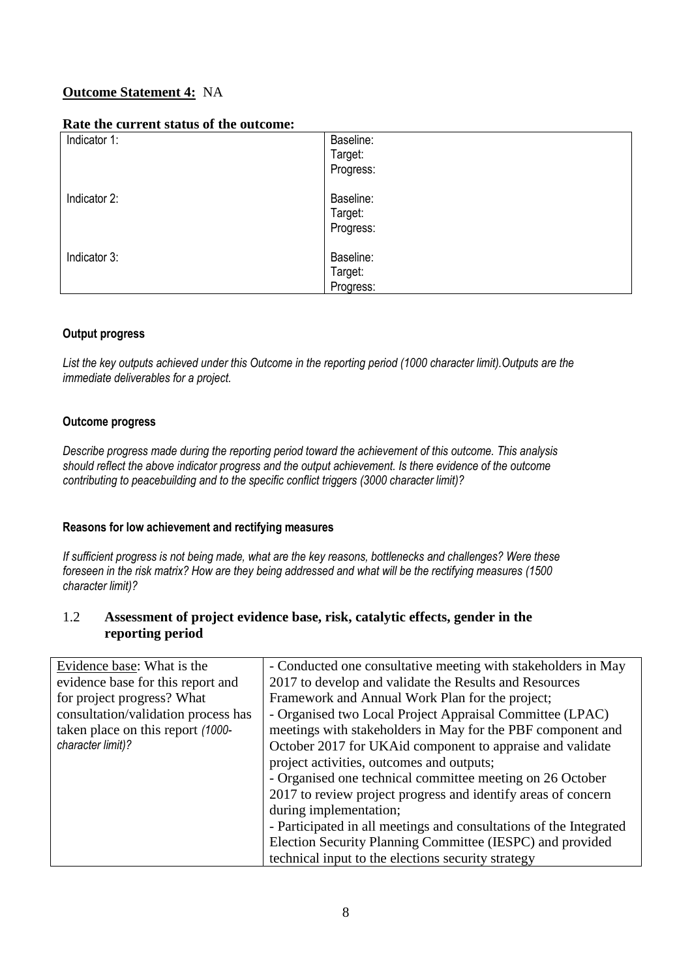# **Outcome Statement 4:** NA

#### **Rate the current status of the outcome:**

| runo mo current sutus or mo outcomo: |           |
|--------------------------------------|-----------|
| Indicator 1:                         | Baseline: |
|                                      | Target:   |
|                                      | Progress: |
| Indicator 2:                         | Baseline: |
|                                      | Target:   |
|                                      | Progress: |
| Indicator 3:                         | Baseline: |
|                                      | Target:   |
|                                      | Progress: |

## **Output progress**

*List the key outputs achieved under this Outcome in the reporting period (1000 character limit).Outputs are the immediate deliverables for a project.*

## **Outcome progress**

*Describe progress made during the reporting period toward the achievement of this outcome. This analysis should reflect the above indicator progress and the output achievement. Is there evidence of the outcome contributing to peacebuilding and to the specific conflict triggers (3000 character limit)?* 

#### **Reasons for low achievement and rectifying measures**

*If sufficient progress is not being made, what are the key reasons, bottlenecks and challenges? Were these foreseen in the risk matrix? How are they being addressed and what will be the rectifying measures (1500 character limit)?*

## 1.2 **Assessment of project evidence base, risk, catalytic effects, gender in the reporting period**

| Evidence base: What is the          | - Conducted one consultative meeting with stakeholders in May      |  |
|-------------------------------------|--------------------------------------------------------------------|--|
| evidence base for this report and   | 2017 to develop and validate the Results and Resources             |  |
| for project progress? What          | Framework and Annual Work Plan for the project;                    |  |
| consultation/validation process has | - Organised two Local Project Appraisal Committee (LPAC)           |  |
| taken place on this report (1000-   | meetings with stakeholders in May for the PBF component and        |  |
| character limit)?                   | October 2017 for UKAid component to appraise and validate          |  |
|                                     | project activities, outcomes and outputs;                          |  |
|                                     | - Organised one technical committee meeting on 26 October          |  |
|                                     | 2017 to review project progress and identify areas of concern      |  |
|                                     | during implementation;                                             |  |
|                                     | - Participated in all meetings and consultations of the Integrated |  |
|                                     | Election Security Planning Committee (IESPC) and provided          |  |
|                                     | technical input to the elections security strategy                 |  |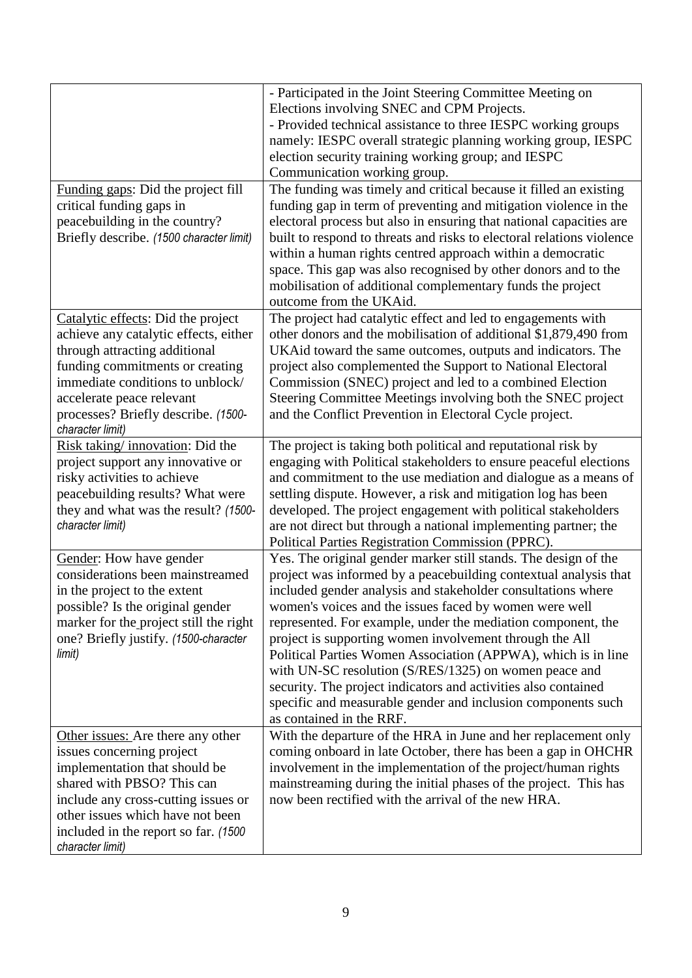|                                          | - Participated in the Joint Steering Committee Meeting on             |  |  |
|------------------------------------------|-----------------------------------------------------------------------|--|--|
|                                          | Elections involving SNEC and CPM Projects.                            |  |  |
|                                          | - Provided technical assistance to three IESPC working groups         |  |  |
|                                          | namely: IESPC overall strategic planning working group, IESPC         |  |  |
|                                          | election security training working group; and IESPC                   |  |  |
|                                          | Communication working group.                                          |  |  |
| Funding gaps: Did the project fill       | The funding was timely and critical because it filled an existing     |  |  |
| critical funding gaps in                 | funding gap in term of preventing and mitigation violence in the      |  |  |
| peacebuilding in the country?            | electoral process but also in ensuring that national capacities are   |  |  |
| Briefly describe. (1500 character limit) | built to respond to threats and risks to electoral relations violence |  |  |
|                                          | within a human rights centred approach within a democratic            |  |  |
|                                          | space. This gap was also recognised by other donors and to the        |  |  |
|                                          | mobilisation of additional complementary funds the project            |  |  |
|                                          | outcome from the UKAid.                                               |  |  |
| Catalytic effects: Did the project       | The project had catalytic effect and led to engagements with          |  |  |
| achieve any catalytic effects, either    | other donors and the mobilisation of additional \$1,879,490 from      |  |  |
| through attracting additional            | UKAid toward the same outcomes, outputs and indicators. The           |  |  |
| funding commitments or creating          | project also complemented the Support to National Electoral           |  |  |
| immediate conditions to unblock/         | Commission (SNEC) project and led to a combined Election              |  |  |
| accelerate peace relevant                | Steering Committee Meetings involving both the SNEC project           |  |  |
| processes? Briefly describe. (1500-      | and the Conflict Prevention in Electoral Cycle project.               |  |  |
| character limit)                         |                                                                       |  |  |
| Risk taking/innovation: Did the          | The project is taking both political and reputational risk by         |  |  |
| project support any innovative or        | engaging with Political stakeholders to ensure peaceful elections     |  |  |
| risky activities to achieve              | and commitment to the use mediation and dialogue as a means of        |  |  |
| peacebuilding results? What were         | settling dispute. However, a risk and mitigation log has been         |  |  |
| they and what was the result? (1500-     | developed. The project engagement with political stakeholders         |  |  |
| character limit)                         | are not direct but through a national implementing partner; the       |  |  |
|                                          | Political Parties Registration Commission (PPRC).                     |  |  |
| Gender: How have gender                  | Yes. The original gender marker still stands. The design of the       |  |  |
| considerations been mainstreamed         | project was informed by a peacebuilding contextual analysis that      |  |  |
| in the project to the extent             | included gender analysis and stakeholder consultations where          |  |  |
| possible? Is the original gender         | women's voices and the issues faced by women were well                |  |  |
| marker for the project still the right   | represented. For example, under the mediation component, the          |  |  |
| one? Briefly justify. (1500-character    | project is supporting women involvement through the All               |  |  |
| limit)                                   | Political Parties Women Association (APPWA), which is in line         |  |  |
|                                          | with UN-SC resolution (S/RES/1325) on women peace and                 |  |  |
|                                          | security. The project indicators and activities also contained        |  |  |
|                                          | specific and measurable gender and inclusion components such          |  |  |
|                                          | as contained in the RRF.                                              |  |  |
| Other issues: Are there any other        | With the departure of the HRA in June and her replacement only        |  |  |
| issues concerning project                | coming onboard in late October, there has been a gap in OHCHR         |  |  |
| implementation that should be            | involvement in the implementation of the project/human rights         |  |  |
| shared with PBSO? This can               | mainstreaming during the initial phases of the project. This has      |  |  |
| include any cross-cutting issues or      | now been rectified with the arrival of the new HRA.                   |  |  |
| other issues which have not been         |                                                                       |  |  |
| included in the report so far. (1500)    |                                                                       |  |  |
| character limit)                         |                                                                       |  |  |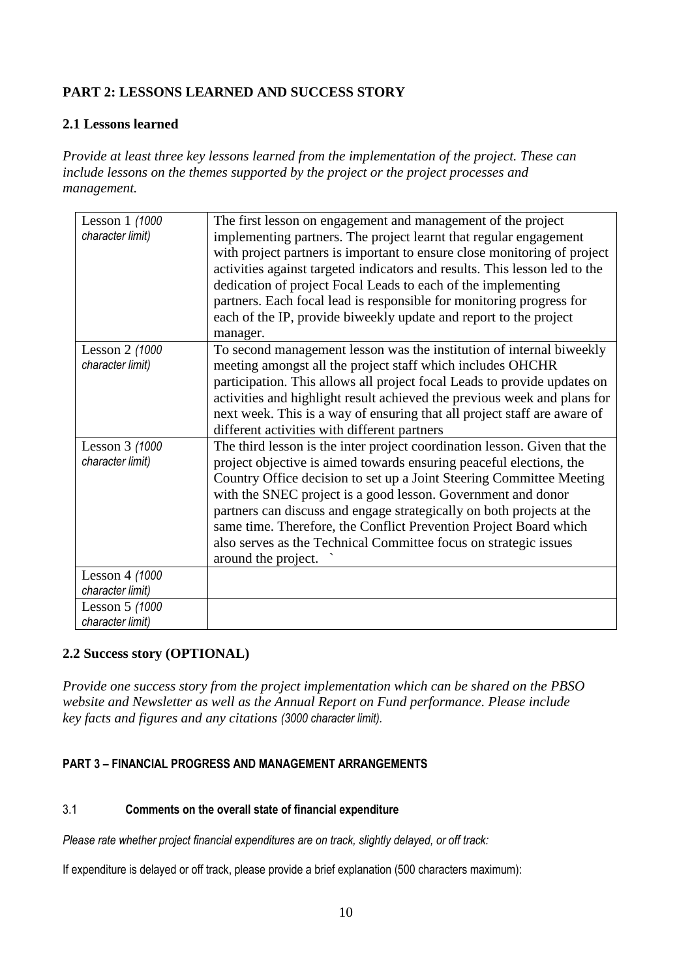# **PART 2: LESSONS LEARNED AND SUCCESS STORY**

## **2.1 Lessons learned**

*Provide at least three key lessons learned from the implementation of the project. These can include lessons on the themes supported by the project or the project processes and management.*

| Lesson 1 (1000<br>character limit) | The first lesson on engagement and management of the project<br>implementing partners. The project learnt that regular engagement<br>with project partners is important to ensure close monitoring of project<br>activities against targeted indicators and results. This lesson led to the<br>dedication of project Focal Leads to each of the implementing<br>partners. Each focal lead is responsible for monitoring progress for<br>each of the IP, provide biweekly update and report to the project<br>manager.             |
|------------------------------------|-----------------------------------------------------------------------------------------------------------------------------------------------------------------------------------------------------------------------------------------------------------------------------------------------------------------------------------------------------------------------------------------------------------------------------------------------------------------------------------------------------------------------------------|
| Lesson 2 (1000<br>character limit) | To second management lesson was the institution of internal biweekly<br>meeting amongst all the project staff which includes OHCHR<br>participation. This allows all project focal Leads to provide updates on<br>activities and highlight result achieved the previous week and plans for<br>next week. This is a way of ensuring that all project staff are aware of<br>different activities with different partners                                                                                                            |
| Lesson 3 (1000<br>character limit) | The third lesson is the inter project coordination lesson. Given that the<br>project objective is aimed towards ensuring peaceful elections, the<br>Country Office decision to set up a Joint Steering Committee Meeting<br>with the SNEC project is a good lesson. Government and donor<br>partners can discuss and engage strategically on both projects at the<br>same time. Therefore, the Conflict Prevention Project Board which<br>also serves as the Technical Committee focus on strategic issues<br>around the project. |
| Lesson 4 (1000<br>character limit) |                                                                                                                                                                                                                                                                                                                                                                                                                                                                                                                                   |
| Lesson 5 (1000<br>character limit) |                                                                                                                                                                                                                                                                                                                                                                                                                                                                                                                                   |

## **2.2 Success story (OPTIONAL)**

*Provide one success story from the project implementation which can be shared on the PBSO website and Newsletter as well as the Annual Report on Fund performance. Please include key facts and figures and any citations (3000 character limit).*

## **PART 3** *–* **FINANCIAL PROGRESS AND MANAGEMENT ARRANGEMENTS**

#### 3.1 **Comments on the overall state of financial expenditure**

*Please rate whether project financial expenditures are on track, slightly delayed, or off track:* 

If expenditure is delayed or off track, please provide a brief explanation (500 characters maximum):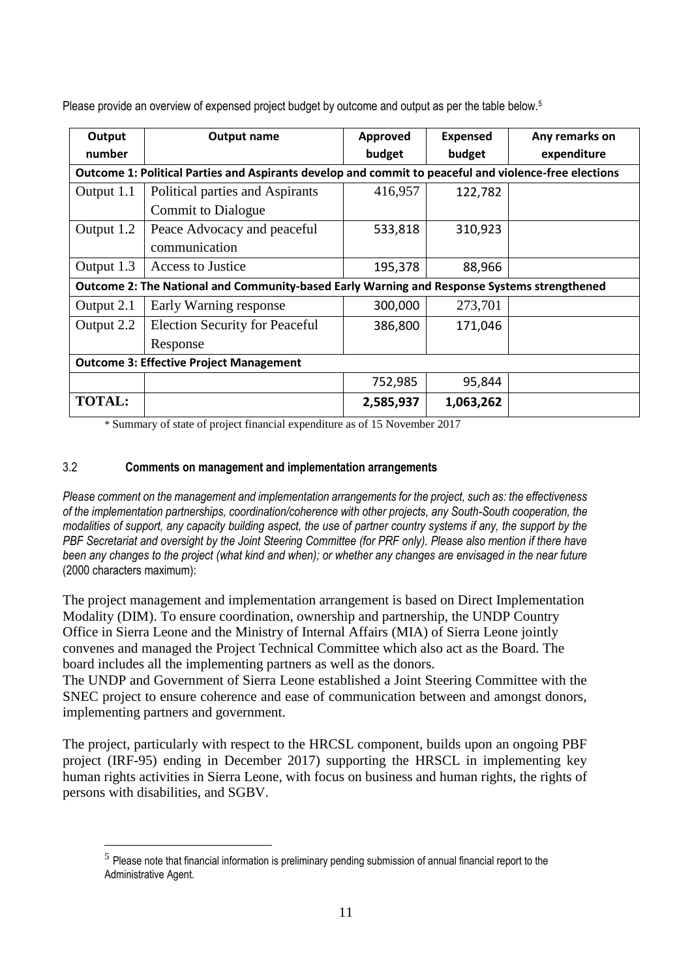| Output                                                                                      | <b>Output name</b>                                                                                    | <b>Approved</b> | <b>Expensed</b> | Any remarks on |
|---------------------------------------------------------------------------------------------|-------------------------------------------------------------------------------------------------------|-----------------|-----------------|----------------|
| number                                                                                      |                                                                                                       | budget          | budget          | expenditure    |
|                                                                                             | Outcome 1: Political Parties and Aspirants develop and commit to peaceful and violence-free elections |                 |                 |                |
| Output 1.1                                                                                  | Political parties and Aspirants                                                                       | 416,957         | 122,782         |                |
|                                                                                             | <b>Commit to Dialogue</b>                                                                             |                 |                 |                |
| Output 1.2                                                                                  | Peace Advocacy and peaceful                                                                           | 533,818         | 310,923         |                |
|                                                                                             | communication                                                                                         |                 |                 |                |
| Output 1.3                                                                                  | Access to Justice                                                                                     | 195,378         | 88,966          |                |
| Outcome 2: The National and Community-based Early Warning and Response Systems strengthened |                                                                                                       |                 |                 |                |
| Output 2.1                                                                                  | Early Warning response                                                                                | 300,000         | 273,701         |                |
| Output 2.2                                                                                  | <b>Election Security for Peaceful</b>                                                                 | 386,800         | 171,046         |                |
|                                                                                             | Response                                                                                              |                 |                 |                |
| <b>Outcome 3: Effective Project Management</b>                                              |                                                                                                       |                 |                 |                |
|                                                                                             |                                                                                                       | 752,985         | 95,844          |                |
| <b>TOTAL:</b>                                                                               |                                                                                                       | 2,585,937       | 1,063,262       |                |

Please provide an overview of expensed project budget by outcome and output as per the table below.<sup>5</sup>

\* Summary of state of project financial expenditure as of 15 November 2017

## 3.2 **Comments on management and implementation arrangements**

<u>.</u>

*Please comment on the management and implementation arrangements for the project, such as: the effectiveness of the implementation partnerships, coordination/coherence with other projects, any South-South cooperation, the modalities of support, any capacity building aspect, the use of partner country systems if any, the support by the PBF Secretariat and oversight by the Joint Steering Committee (for PRF only). Please also mention if there have been any changes to the project (what kind and when); or whether any changes are envisaged in the near future*  (2000 characters maximum):

The project management and implementation arrangement is based on Direct Implementation Modality (DIM). To ensure coordination, ownership and partnership, the UNDP Country Office in Sierra Leone and the Ministry of Internal Affairs (MIA) of Sierra Leone jointly convenes and managed the Project Technical Committee which also act as the Board. The board includes all the implementing partners as well as the donors.

The UNDP and Government of Sierra Leone established a Joint Steering Committee with the SNEC project to ensure coherence and ease of communication between and amongst donors, implementing partners and government.

The project, particularly with respect to the HRCSL component, builds upon an ongoing PBF project (IRF-95) ending in December 2017) supporting the HRSCL in implementing key human rights activities in Sierra Leone, with focus on business and human rights, the rights of persons with disabilities, and SGBV.

 $<sup>5</sup>$  Please note that financial information is preliminary pending submission of annual financial report to the</sup> Administrative Agent.